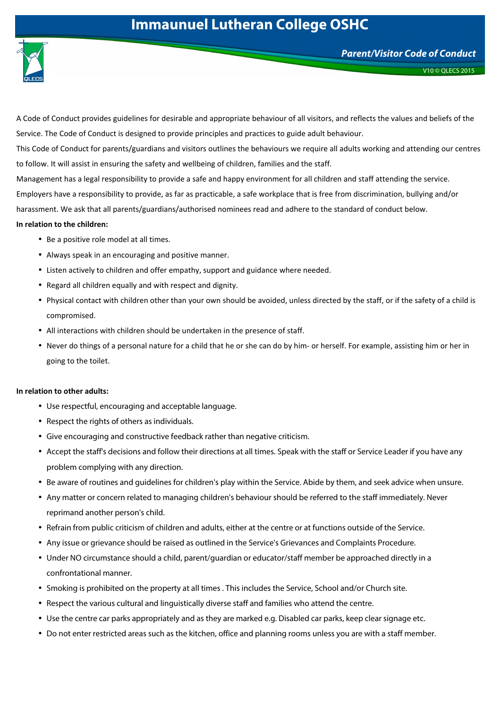## **Immaunuel Lutheran College OSHC**



V10 © QLECS 2015

A Code of Conduct provides guidelines for desirable and appropriate behaviour of all visitors, and reflects the values and beliefs of the Service. The Code of Conduct is designed to provide principles and practices to guide adult behaviour. This Code of Conduct for parents/guardians and visitors outlines the behaviours we require all adults working and attending our centres to follow. It will assist in ensuring the safety and wellbeing of children, families and the staff. Management has a legal responsibility to provide a safe and happy environment for all children and staff attending the service. Employers have a responsibility to provide, as far as practicable, a safe workplace that is free from discrimination, bullying and/or harassment. We ask that all parents/guardians/authorised nominees read and adhere to the standard of conduct below. **In relation to the children:** 

- Be a positive role model at all times.
- Always speak in an encouraging and positive manner.
- Listen actively to children and offer empathy, support and guidance where needed.
- Regard all children equally and with respect and dignity.
- Physical contact with children other than your own should be avoided, unless directed by the staff, or if the safety of a child is compromised.
- All interactions with children should be undertaken in the presence of staff.
- Never do things of a personal nature for a child that he or she can do by him- or herself. For example, assisting him or her in going to the toilet.

## **In relation to other adults:**

- Use respectful, encouraging and acceptable language.
- Respect the rights of others as individuals.
- Give encouraging and constructive feedback rather than negative criticism.
- Accept the staff's decisions and follow their directions at all times. Speak with the staff or Service Leader if you have any problem complying with any direction.
- Be aware of routines and guidelines for children's play within the Service. Abide by them, and seek advice when unsure.
- Any matter or concern related to managing children's behaviour should be referred to the staff immediately. Never reprimand another person's child.
- Refrain from public criticism of children and adults, either at the centre or at functions outside of the Service.
- Any issue or grievance should be raised as outlined in the Service's Grievances and Complaints Procedure.
- Under NO circumstance should a child, parent/guardian or educator/staff member be approached directly in a confrontational manner.
- Smoking is prohibited on the property at all times . This includes the Service, School and/or Church site.
- Respect the various cultural and linguistically diverse staff and families who attend the centre.
- Use the centre car parks appropriately and as they are marked e.g. Disabled car parks, keep clear signage etc.
- Do not enter restricted areas such as the kitchen, office and planning rooms unless you are with a staff member.